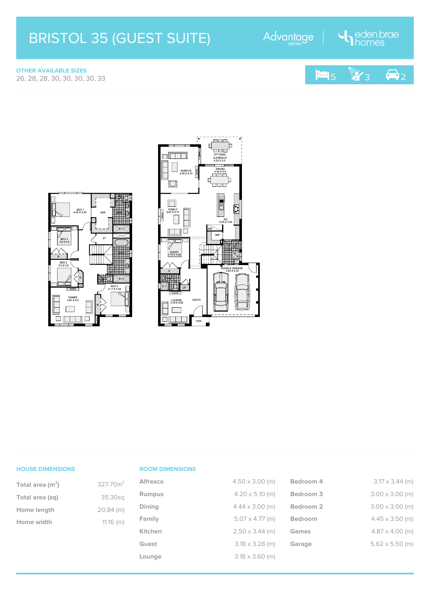## BRISTOL 35 (GUEST SUITE)

Advantage

London brae

**OTHER AVAILABLE SIZES**







## **HOUSE DIMENSIONS**

| Total area $(m2)$ | 327.70m <sup>2</sup> |
|-------------------|----------------------|
| Total area (sq)   | 35.30sq              |
| Home length       | $20.84$ (m)          |
| Home width        | $11.16$ (m)          |

## **ROOM DIMENSIONS**

| $n^2$ | <b>Alfresco</b> | $4.50 \times 3.00$ (m) | Bedroom 4            | $3.17 \times 3.44$ (m) |
|-------|-----------------|------------------------|----------------------|------------------------|
| q     | <b>Rumpus</b>   | $4.20 \times 5.10$ (m) | Bedroom <sub>3</sub> | $3.00 \times 3.00$ (m) |
| n)    | <b>Dining</b>   | $4.44 \times 3.00$ (m) | Bedroom <sub>2</sub> | $3.00 \times 3.00$ (m) |
| n)    | Family          | $5.07 \times 4.77$ (m) | <b>Bedroom</b>       | $4.45 \times 3.50$ (m) |
|       | Kitchen         | $2.50 \times 3.44$ (m) | Games                | $4.87 \times 4.00$ (m) |
|       | Guest           | $3.18 \times 3.28$ (m) | Garage               | $5.62 \times 5.50$ (m) |
|       | Lounge          | $3.18 \times 3.60$ (m) |                      |                        |
|       |                 |                        |                      |                        |